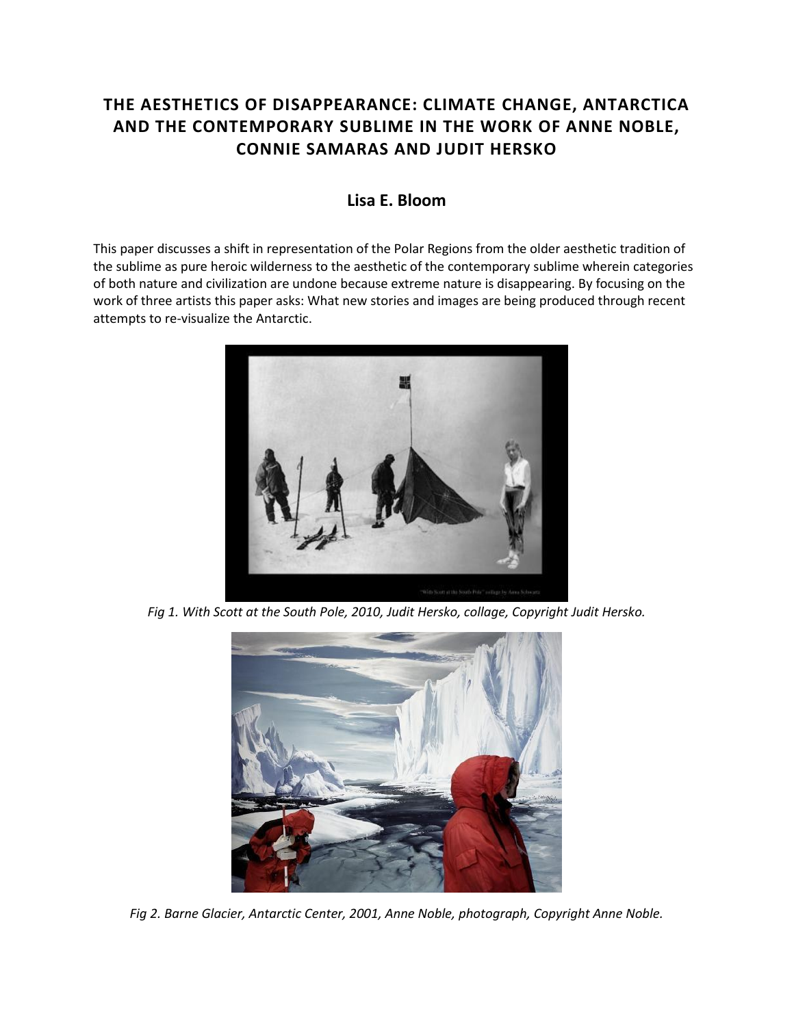## **THE AESTHETICS OF DISAPPEARANCE: CLIMATE CHANGE, ANTARCTICA AND THE CONTEMPORARY SUBLIME IN THE WORK OF ANNE NOBLE, CONNIE SAMARAS AND JUDIT HERSKO**

## **Lisa E. Bloom**

This paper discusses a shift in representation of the Polar Regions from the older aesthetic tradition of the sublime as pure heroic wilderness to the aesthetic of the contemporary sublime wherein categories of both nature and civilization are undone because extreme nature is disappearing. By focusing on the work of three artists this paper asks: What new stories and images are being produced through recent attempts to re-visualize the Antarctic.



*Fig 1. With Scott at the South Pole, 2010, Judit Hersko, collage, Copyright Judit Hersko.* 



*Fig 2. Barne Glacier, Antarctic Center, 2001, Anne Noble, photograph, Copyright Anne Noble.*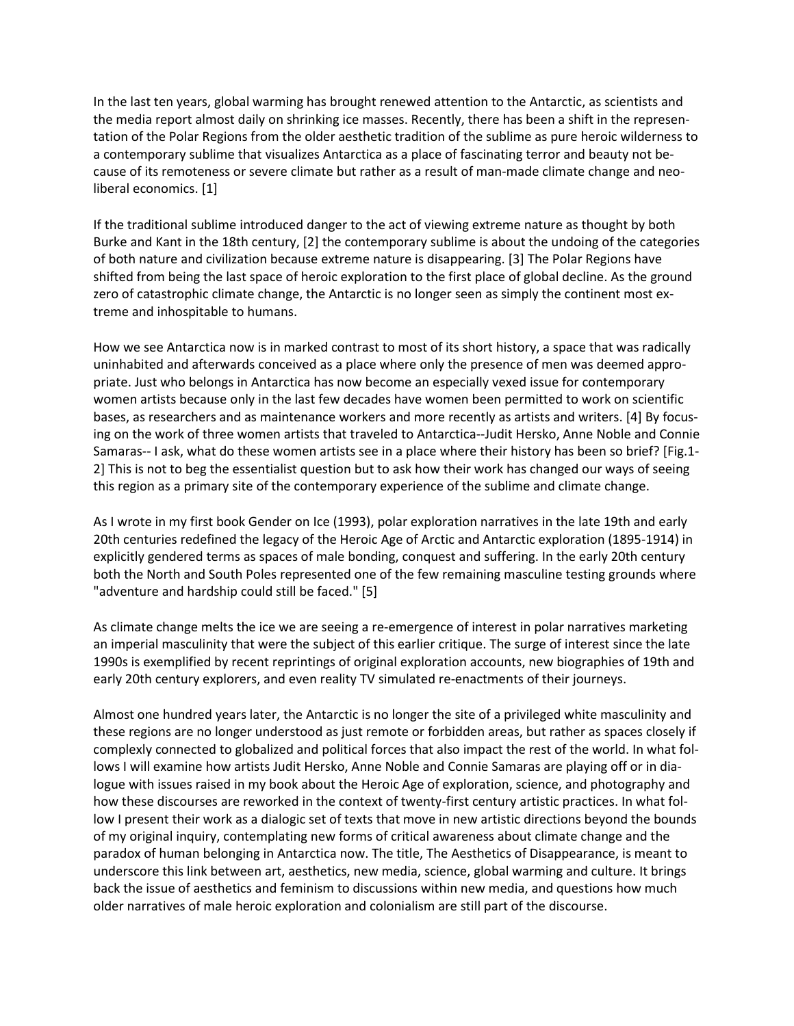In the last ten years, global warming has brought renewed attention to the Antarctic, as scientists and the media report almost daily on shrinking ice masses. Recently, there has been a shift in the representation of the Polar Regions from the older aesthetic tradition of the sublime as pure heroic wilderness to a contemporary sublime that visualizes Antarctica as a place of fascinating terror and beauty not because of its remoteness or severe climate but rather as a result of man-made climate change and neoliberal economics. [1]

If the traditional sublime introduced danger to the act of viewing extreme nature as thought by both Burke and Kant in the 18th century, [2] the contemporary sublime is about the undoing of the categories of both nature and civilization because extreme nature is disappearing. [3] The Polar Regions have shifted from being the last space of heroic exploration to the first place of global decline. As the ground zero of catastrophic climate change, the Antarctic is no longer seen as simply the continent most extreme and inhospitable to humans.

How we see Antarctica now is in marked contrast to most of its short history, a space that was radically uninhabited and afterwards conceived as a place where only the presence of men was deemed appropriate. Just who belongs in Antarctica has now become an especially vexed issue for contemporary women artists because only in the last few decades have women been permitted to work on scientific bases, as researchers and as maintenance workers and more recently as artists and writers. [4] By focusing on the work of three women artists that traveled to Antarctica--Judit Hersko, Anne Noble and Connie Samaras-- I ask, what do these women artists see in a place where their history has been so brief? [Fig.1- 2] This is not to beg the essentialist question but to ask how their work has changed our ways of seeing this region as a primary site of the contemporary experience of the sublime and climate change.

As I wrote in my first book Gender on Ice (1993), polar exploration narratives in the late 19th and early 20th centuries redefined the legacy of the Heroic Age of Arctic and Antarctic exploration (1895-1914) in explicitly gendered terms as spaces of male bonding, conquest and suffering. In the early 20th century both the North and South Poles represented one of the few remaining masculine testing grounds where "adventure and hardship could still be faced." [5]

As climate change melts the ice we are seeing a re-emergence of interest in polar narratives marketing an imperial masculinity that were the subject of this earlier critique. The surge of interest since the late 1990s is exemplified by recent reprintings of original exploration accounts, new biographies of 19th and early 20th century explorers, and even reality TV simulated re-enactments of their journeys.

Almost one hundred years later, the Antarctic is no longer the site of a privileged white masculinity and these regions are no longer understood as just remote or forbidden areas, but rather as spaces closely if complexly connected to globalized and political forces that also impact the rest of the world. In what follows I will examine how artists Judit Hersko, Anne Noble and Connie Samaras are playing off or in dialogue with issues raised in my book about the Heroic Age of exploration, science, and photography and how these discourses are reworked in the context of twenty-first century artistic practices. In what follow I present their work as a dialogic set of texts that move in new artistic directions beyond the bounds of my original inquiry, contemplating new forms of critical awareness about climate change and the paradox of human belonging in Antarctica now. The title, The Aesthetics of Disappearance, is meant to underscore this link between art, aesthetics, new media, science, global warming and culture. It brings back the issue of aesthetics and feminism to discussions within new media, and questions how much older narratives of male heroic exploration and colonialism are still part of the discourse.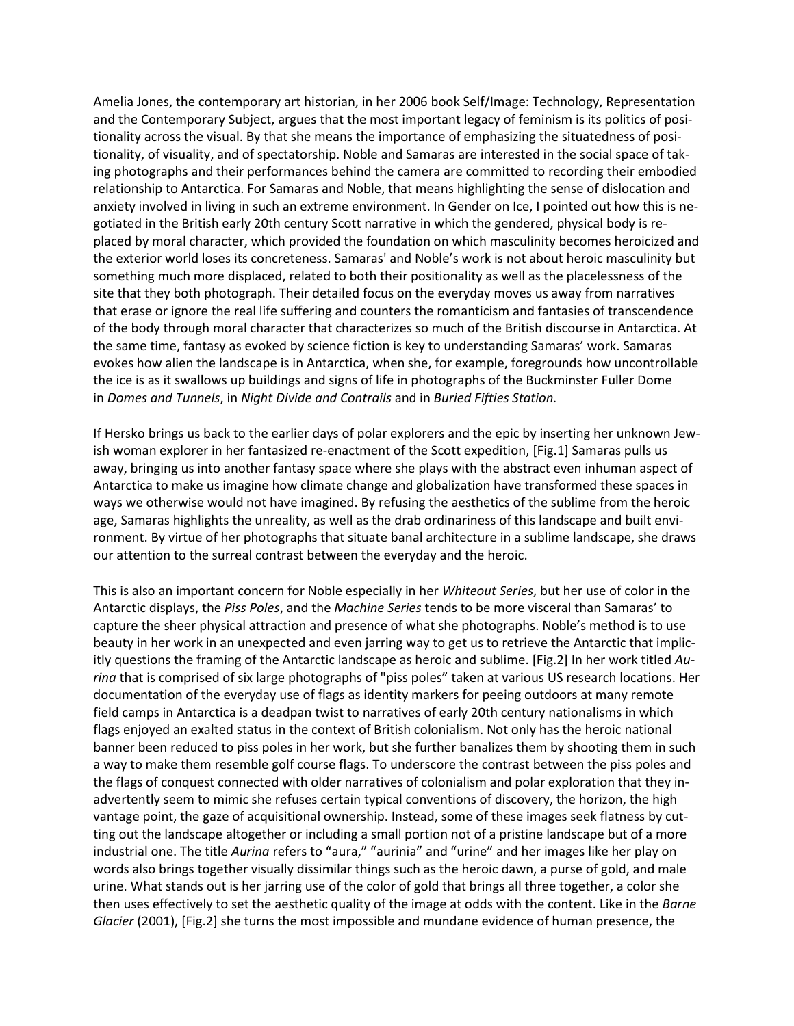Amelia Jones, the contemporary art historian, in her 2006 book Self/Image: Technology, Representation and the Contemporary Subject, argues that the most important legacy of feminism is its politics of positionality across the visual. By that she means the importance of emphasizing the situatedness of positionality, of visuality, and of spectatorship. Noble and Samaras are interested in the social space of taking photographs and their performances behind the camera are committed to recording their embodied relationship to Antarctica. For Samaras and Noble, that means highlighting the sense of dislocation and anxiety involved in living in such an extreme environment. In Gender on Ice, I pointed out how this is negotiated in the British early 20th century Scott narrative in which the gendered, physical body is replaced by moral character, which provided the foundation on which masculinity becomes heroicized and the exterior world loses its concreteness. Samaras' and Noble's work is not about heroic masculinity but something much more displaced, related to both their positionality as well as the placelessness of the site that they both photograph. Their detailed focus on the everyday moves us away from narratives that erase or ignore the real life suffering and counters the romanticism and fantasies of transcendence of the body through moral character that characterizes so much of the British discourse in Antarctica. At the same time, fantasy as evoked by science fiction is key to understanding Samaras' work. Samaras evokes how alien the landscape is in Antarctica, when she, for example, foregrounds how uncontrollable the ice is as it swallows up buildings and signs of life in photographs of the Buckminster Fuller Dome in *Domes and Tunnels*, in *Night Divide and Contrails* and in *Buried Fifties Station.*

If Hersko brings us back to the earlier days of polar explorers and the epic by inserting her unknown Jewish woman explorer in her fantasized re-enactment of the Scott expedition, [Fig.1] Samaras pulls us away, bringing us into another fantasy space where she plays with the abstract even inhuman aspect of Antarctica to make us imagine how climate change and globalization have transformed these spaces in ways we otherwise would not have imagined. By refusing the aesthetics of the sublime from the heroic age, Samaras highlights the unreality, as well as the drab ordinariness of this landscape and built environment. By virtue of her photographs that situate banal architecture in a sublime landscape, she draws our attention to the surreal contrast between the everyday and the heroic.

This is also an important concern for Noble especially in her *Whiteout Series*, but her use of color in the Antarctic displays, the *Piss Poles*, and the *Machine Series* tends to be more visceral than Samaras' to capture the sheer physical attraction and presence of what she photographs. Noble's method is to use beauty in her work in an unexpected and even jarring way to get us to retrieve the Antarctic that implicitly questions the framing of the Antarctic landscape as heroic and sublime. [Fig.2] In her work titled *Aurina* that is comprised of six large photographs of "piss poles" taken at various US research locations. Her documentation of the everyday use of flags as identity markers for peeing outdoors at many remote field camps in Antarctica is a deadpan twist to narratives of early 20th century nationalisms in which flags enjoyed an exalted status in the context of British colonialism. Not only has the heroic national banner been reduced to piss poles in her work, but she further banalizes them by shooting them in such a way to make them resemble golf course flags. To underscore the contrast between the piss poles and the flags of conquest connected with older narratives of colonialism and polar exploration that they inadvertently seem to mimic she refuses certain typical conventions of discovery, the horizon, the high vantage point, the gaze of acquisitional ownership. Instead, some of these images seek flatness by cutting out the landscape altogether or including a small portion not of a pristine landscape but of a more industrial one. The title *Aurina* refers to "aura," "aurinia" and "urine" and her images like her play on words also brings together visually dissimilar things such as the heroic dawn, a purse of gold, and male urine. What stands out is her jarring use of the color of gold that brings all three together, a color she then uses effectively to set the aesthetic quality of the image at odds with the content. Like in the *Barne Glacier* (2001), [Fig.2] she turns the most impossible and mundane evidence of human presence, the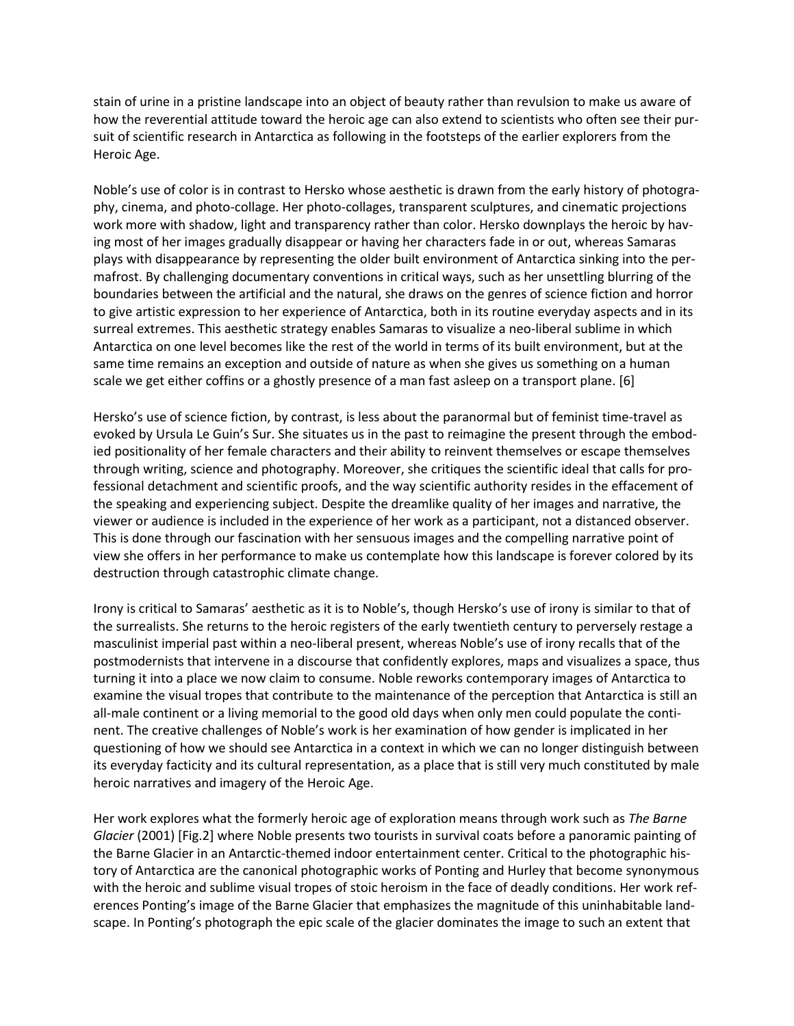stain of urine in a pristine landscape into an object of beauty rather than revulsion to make us aware of how the reverential attitude toward the heroic age can also extend to scientists who often see their pursuit of scientific research in Antarctica as following in the footsteps of the earlier explorers from the Heroic Age.

Noble's use of color is in contrast to Hersko whose aesthetic is drawn from the early history of photography, cinema, and photo-collage. Her photo-collages, transparent sculptures, and cinematic projections work more with shadow, light and transparency rather than color. Hersko downplays the heroic by having most of her images gradually disappear or having her characters fade in or out, whereas Samaras plays with disappearance by representing the older built environment of Antarctica sinking into the permafrost. By challenging documentary conventions in critical ways, such as her unsettling blurring of the boundaries between the artificial and the natural, she draws on the genres of science fiction and horror to give artistic expression to her experience of Antarctica, both in its routine everyday aspects and in its surreal extremes. This aesthetic strategy enables Samaras to visualize a neo-liberal sublime in which Antarctica on one level becomes like the rest of the world in terms of its built environment, but at the same time remains an exception and outside of nature as when she gives us something on a human scale we get either coffins or a ghostly presence of a man fast asleep on a transport plane. [6]

Hersko's use of science fiction, by contrast, is less about the paranormal but of feminist time-travel as evoked by Ursula Le Guin's Sur. She situates us in the past to reimagine the present through the embodied positionality of her female characters and their ability to reinvent themselves or escape themselves through writing, science and photography. Moreover, she critiques the scientific ideal that calls for professional detachment and scientific proofs, and the way scientific authority resides in the effacement of the speaking and experiencing subject. Despite the dreamlike quality of her images and narrative, the viewer or audience is included in the experience of her work as a participant, not a distanced observer. This is done through our fascination with her sensuous images and the compelling narrative point of view she offers in her performance to make us contemplate how this landscape is forever colored by its destruction through catastrophic climate change.

Irony is critical to Samaras' aesthetic as it is to Noble's, though Hersko's use of irony is similar to that of the surrealists. She returns to the heroic registers of the early twentieth century to perversely restage a masculinist imperial past within a neo-liberal present, whereas Noble's use of irony recalls that of the postmodernists that intervene in a discourse that confidently explores, maps and visualizes a space, thus turning it into a place we now claim to consume. Noble reworks contemporary images of Antarctica to examine the visual tropes that contribute to the maintenance of the perception that Antarctica is still an all-male continent or a living memorial to the good old days when only men could populate the continent. The creative challenges of Noble's work is her examination of how gender is implicated in her questioning of how we should see Antarctica in a context in which we can no longer distinguish between its everyday facticity and its cultural representation, as a place that is still very much constituted by male heroic narratives and imagery of the Heroic Age.

Her work explores what the formerly heroic age of exploration means through work such as *The Barne Glacier* (2001) [Fig.2] where Noble presents two tourists in survival coats before a panoramic painting of the Barne Glacier in an Antarctic-themed indoor entertainment center. Critical to the photographic history of Antarctica are the canonical photographic works of Ponting and Hurley that become synonymous with the heroic and sublime visual tropes of stoic heroism in the face of deadly conditions. Her work references Ponting's image of the Barne Glacier that emphasizes the magnitude of this uninhabitable landscape. In Ponting's photograph the epic scale of the glacier dominates the image to such an extent that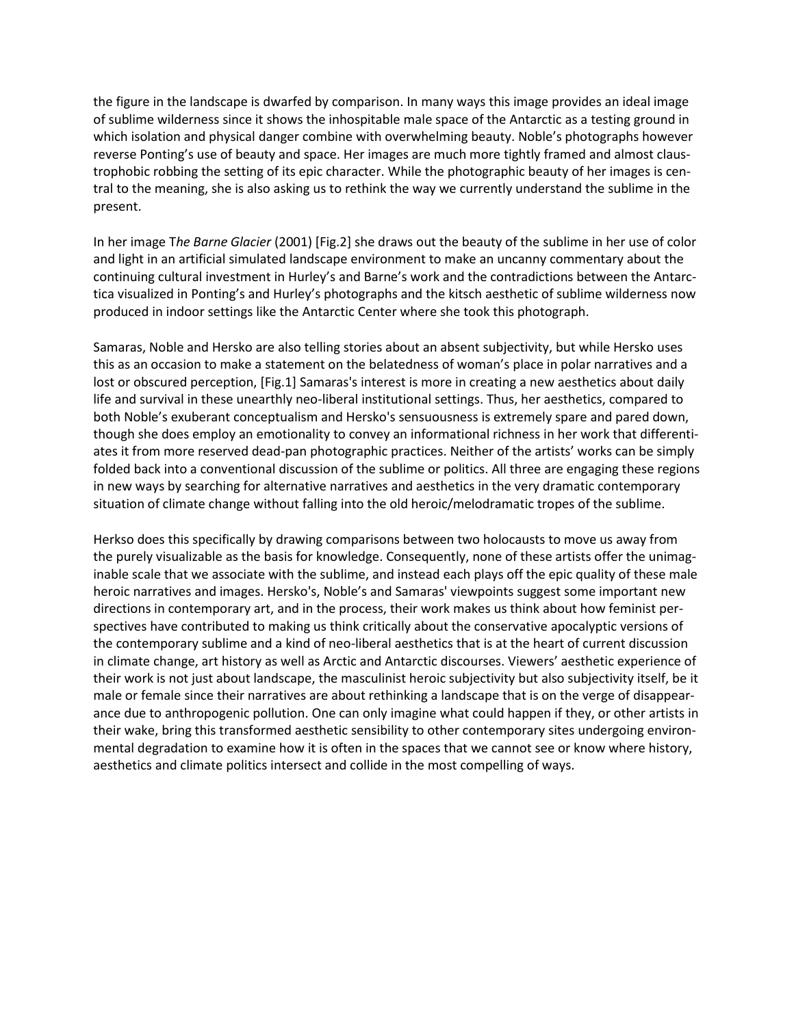the figure in the landscape is dwarfed by comparison. In many ways this image provides an ideal image of sublime wilderness since it shows the inhospitable male space of the Antarctic as a testing ground in which isolation and physical danger combine with overwhelming beauty. Noble's photographs however reverse Ponting's use of beauty and space. Her images are much more tightly framed and almost claustrophobic robbing the setting of its epic character. While the photographic beauty of her images is central to the meaning, she is also asking us to rethink the way we currently understand the sublime in the present.

In her image T*he Barne Glacier* (2001) [Fig.2] she draws out the beauty of the sublime in her use of color and light in an artificial simulated landscape environment to make an uncanny commentary about the continuing cultural investment in Hurley's and Barne's work and the contradictions between the Antarctica visualized in Ponting's and Hurley's photographs and the kitsch aesthetic of sublime wilderness now produced in indoor settings like the Antarctic Center where she took this photograph.

Samaras, Noble and Hersko are also telling stories about an absent subjectivity, but while Hersko uses this as an occasion to make a statement on the belatedness of woman's place in polar narratives and a lost or obscured perception, [Fig.1] Samaras's interest is more in creating a new aesthetics about daily life and survival in these unearthly neo-liberal institutional settings. Thus, her aesthetics, compared to both Noble's exuberant conceptualism and Hersko's sensuousness is extremely spare and pared down, though she does employ an emotionality to convey an informational richness in her work that differentiates it from more reserved dead-pan photographic practices. Neither of the artists' works can be simply folded back into a conventional discussion of the sublime or politics. All three are engaging these regions in new ways by searching for alternative narratives and aesthetics in the very dramatic contemporary situation of climate change without falling into the old heroic/melodramatic tropes of the sublime.

Herkso does this specifically by drawing comparisons between two holocausts to move us away from the purely visualizable as the basis for knowledge. Consequently, none of these artists offer the unimaginable scale that we associate with the sublime, and instead each plays off the epic quality of these male heroic narratives and images. Hersko's, Noble's and Samaras' viewpoints suggest some important new directions in contemporary art, and in the process, their work makes us think about how feminist perspectives have contributed to making us think critically about the conservative apocalyptic versions of the contemporary sublime and a kind of neo-liberal aesthetics that is at the heart of current discussion in climate change, art history as well as Arctic and Antarctic discourses. Viewers' aesthetic experience of their work is not just about landscape, the masculinist heroic subjectivity but also subjectivity itself, be it male or female since their narratives are about rethinking a landscape that is on the verge of disappearance due to anthropogenic pollution. One can only imagine what could happen if they, or other artists in their wake, bring this transformed aesthetic sensibility to other contemporary sites undergoing environmental degradation to examine how it is often in the spaces that we cannot see or know where history, aesthetics and climate politics intersect and collide in the most compelling of ways.